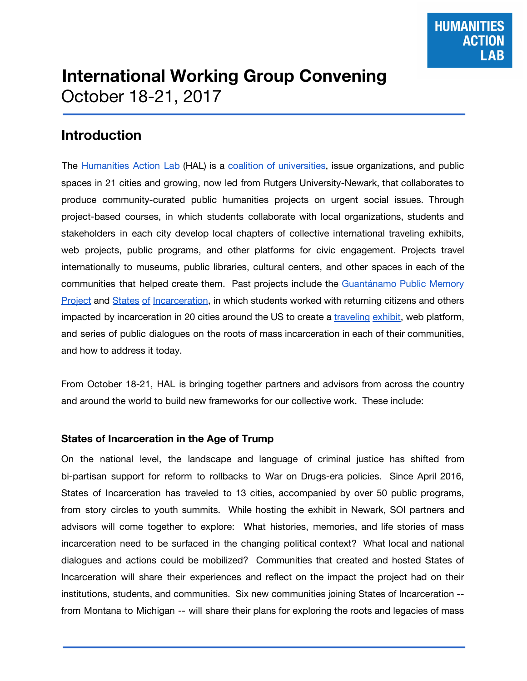# **International Working Group Convening** October 18-21, 2017

# **Introduction**

The [Humanities](https://www.humanitiesactionlab.org/) Action Lab (HAL) is a coalition of [universities,](https://www.humanitiesactionlab.org/partners) issue organizations, and public spaces in 21 cities and growing, now led from Rutgers University-Newark, that collaborates to produce community-curated public humanities projects on urgent social issues. Through project-based courses, in which students collaborate with local organizations, students and stakeholders in each city develop local chapters of collective international traveling exhibits, web projects, public programs, and other platforms for civic engagement. Projects travel internationally to museums, public libraries, cultural centers, and other spaces in each of the communities that helped create them. Past projects include the [Guantánamo](http://gitmomemory.org/) Public Memory **[Project](http://gitmomemory.org/) and States of [Incarceration,](http://statesofincarceration.org/) in which students worked with returning citizens and others** impacted by incarceration in 20 cities around the US to create a [traveling](http://statesofincarceration.org/exhibition-and-events) exhibit, web platform, and series of public dialogues on the roots of mass incarceration in each of their communities, and how to address it today.

From October 18-21, HAL is bringing together partners and advisors from across the country and around the world to build new frameworks for our collective work. These include:

#### **States of Incarceration in the Age of Trump**

On the national level, the landscape and language of criminal justice has shifted from bi-partisan support for reform to rollbacks to War on Drugs-era policies. Since April 2016, States of Incarceration has traveled to 13 cities, accompanied by over 50 public programs, from story circles to youth summits. While hosting the exhibit in Newark, SOI partners and advisors will come together to explore: What histories, memories, and life stories of mass incarceration need to be surfaced in the changing political context? What local and national dialogues and actions could be mobilized? Communities that created and hosted States of Incarceration will share their experiences and reflect on the impact the project had on their institutions, students, and communities. Six new communities joining States of Incarceration - from Montana to Michigan -- will share their plans for exploring the roots and legacies of mass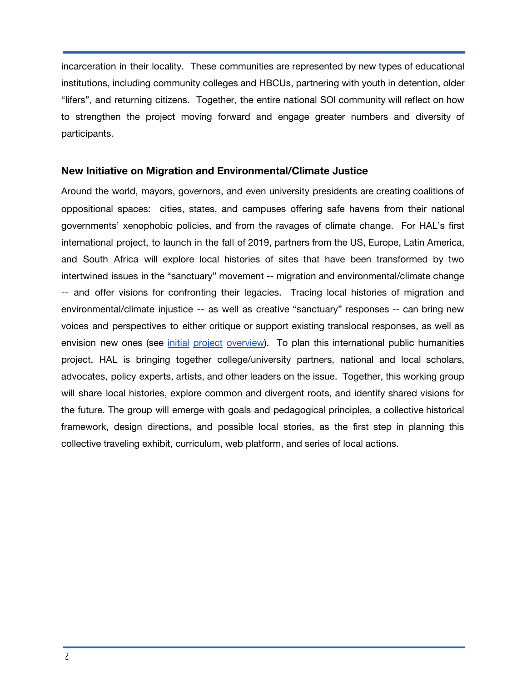incarceration in their locality. These communities are represented by new types of educational institutions, including community colleges and HBCUs, partnering with youth in detention, older "lifers", and returning citizens. Together, the entire national SOI community will reflect on how to strengthen the project moving forward and engage greater numbers and diversity of participants.

#### **New Initiative on Migration and Environmental/Climate Justice**

Around the world, mayors, governors, and even university presidents are creating coalitions of oppositional spaces: cities, states, and campuses offering safe havens from their national governments' xenophobic policies, and from the ravages of climate change. For HAL's first international project, to launch in the fall of 2019, partners from the US, Europe, Latin America, and South Africa will explore local histories of sites that have been transformed by two intertwined issues in the "sanctuary" movement -- migration and environmental/climate change -- and offer visions for confronting their legacies. Tracing local histories of migration and environmental/climate injustice -- as well as creative "sanctuary" responses -- can bring new voices and perspectives to either critique or support existing translocal responses, as well as envision new ones (see initial project [overview\)](https://drive.google.com/open?id=1j1bo-gHKukK7Wn5NYGp5zWB2JQ_xuw9xI0kU-f8IVlg). To plan this international public humanities project, HAL is bringing together college/university partners, national and local scholars, advocates, policy experts, artists, and other leaders on the issue. Together, this working group will share local histories, explore common and divergent roots, and identify shared visions for the future. The group will emerge with goals and pedagogical principles, a collective historical framework, design directions, and possible local stories, as the first step in planning this collective traveling exhibit, curriculum, web platform, and series of local actions.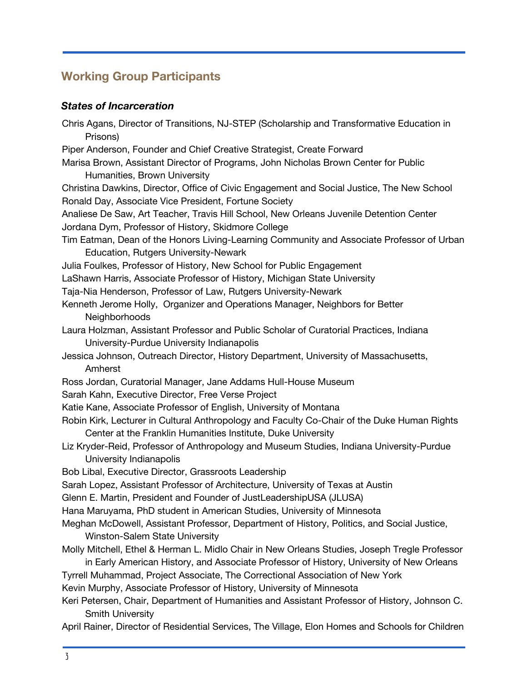# **Working Group Participants**

## *States of Incarceration*

| Chris Agans, Director of Transitions, NJ-STEP (Scholarship and Transformative Education in<br>Prisons)                                                      |
|-------------------------------------------------------------------------------------------------------------------------------------------------------------|
| Piper Anderson, Founder and Chief Creative Strategist, Create Forward                                                                                       |
| Marisa Brown, Assistant Director of Programs, John Nicholas Brown Center for Public<br>Humanities, Brown University                                         |
| Christina Dawkins, Director, Office of Civic Engagement and Social Justice, The New School<br>Ronald Day, Associate Vice President, Fortune Society         |
| Analiese De Saw, Art Teacher, Travis Hill School, New Orleans Juvenile Detention Center                                                                     |
| Jordana Dym, Professor of History, Skidmore College                                                                                                         |
| Tim Eatman, Dean of the Honors Living-Learning Community and Associate Professor of Urban                                                                   |
| Education, Rutgers University-Newark                                                                                                                        |
| Julia Foulkes, Professor of History, New School for Public Engagement                                                                                       |
| LaShawn Harris, Associate Professor of History, Michigan State University                                                                                   |
| Taja-Nia Henderson, Professor of Law, Rutgers University-Newark                                                                                             |
| Kenneth Jerome Holly, Organizer and Operations Manager, Neighbors for Better                                                                                |
| Neighborhoods                                                                                                                                               |
| Laura Holzman, Assistant Professor and Public Scholar of Curatorial Practices, Indiana                                                                      |
| University-Purdue University Indianapolis                                                                                                                   |
| Jessica Johnson, Outreach Director, History Department, University of Massachusetts,                                                                        |
| Amherst                                                                                                                                                     |
| Ross Jordan, Curatorial Manager, Jane Addams Hull-House Museum                                                                                              |
| Sarah Kahn, Executive Director, Free Verse Project                                                                                                          |
| Katie Kane, Associate Professor of English, University of Montana                                                                                           |
| Robin Kirk, Lecturer in Cultural Anthropology and Faculty Co-Chair of the Duke Human Rights<br>Center at the Franklin Humanities Institute, Duke University |
| Liz Kryder-Reid, Professor of Anthropology and Museum Studies, Indiana University-Purdue                                                                    |
| University Indianapolis                                                                                                                                     |
| Bob Libal, Executive Director, Grassroots Leadership                                                                                                        |
| Sarah Lopez, Assistant Professor of Architecture, University of Texas at Austin                                                                             |
| Glenn E. Martin, President and Founder of JustLeadershipUSA (JLUSA)                                                                                         |
| Hana Maruyama, PhD student in American Studies, University of Minnesota                                                                                     |
| Meghan McDowell, Assistant Professor, Department of History, Politics, and Social Justice,                                                                  |
| <b>Winston-Salem State University</b>                                                                                                                       |
| Molly Mitchell, Ethel & Herman L. Midlo Chair in New Orleans Studies, Joseph Tregle Professor                                                               |
| in Early American History, and Associate Professor of History, University of New Orleans                                                                    |
| Tyrrell Muhammad, Project Associate, The Correctional Association of New York                                                                               |
| Kevin Murphy, Associate Professor of History, University of Minnesota                                                                                       |
| Keri Petersen, Chair, Department of Humanities and Assistant Professor of History, Johnson C.<br><b>Smith University</b>                                    |
| April Rainer, Director of Residential Services, The Village, Elon Homes and Schools for Children                                                            |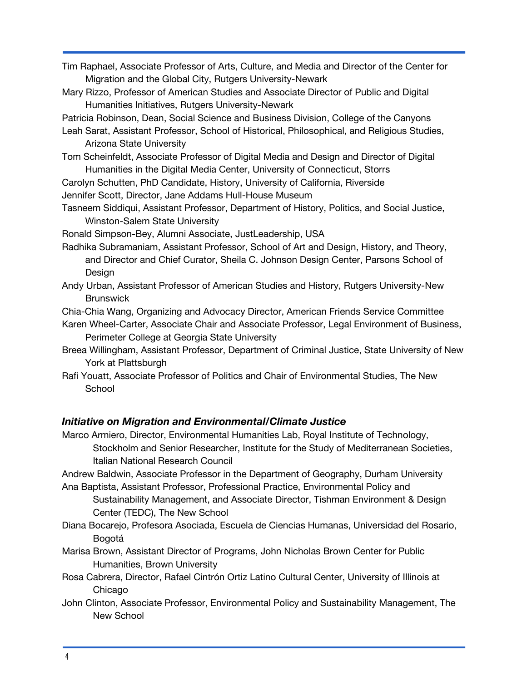- Tim Raphael, Associate Professor of Arts, Culture, and Media and Director of the Center for Migration and the Global City, Rutgers University-Newark
- Mary Rizzo, Professor of American Studies and Associate Director of Public and Digital Humanities Initiatives, Rutgers University-Newark
- Patricia Robinson, Dean, Social Science and Business Division, College of the Canyons
- Leah Sarat, Assistant Professor, School of Historical, Philosophical, and Religious Studies, Arizona State University
- Tom Scheinfeldt, Associate Professor of Digital Media and Design and Director of Digital Humanities in the Digital Media Center, University of Connecticut, Storrs
- Carolyn Schutten, PhD Candidate, History, University of California, Riverside
- Jennifer Scott, Director, Jane Addams Hull-House Museum
- Tasneem Siddiqui, Assistant Professor, Department of History, Politics, and Social Justice, Winston-Salem State University
- Ronald Simpson-Bey, Alumni Associate, JustLeadership, USA
- Radhika Subramaniam, Assistant Professor, School of Art and Design, History, and Theory, and Director and Chief Curator, Sheila C. Johnson Design Center, Parsons School of Design
- Andy Urban, Assistant Professor of American Studies and History, Rutgers University-New **Brunswick**

Chia-Chia Wang, Organizing and Advocacy Director, American Friends Service Committee

- Karen Wheel-Carter, Associate Chair and Associate Professor, Legal Environment of Business, Perimeter College at Georgia State University
- Breea Willingham, Assistant Professor, Department of Criminal Justice, State University of New York at Plattsburgh
- Rafi Youatt, Associate Professor of Politics and Chair of Environmental Studies, The New **School**

## *Initiative on Migration and Environmental/Climate Justice*

Marco Armiero, Director, Environmental Humanities Lab, Royal Institute of Technology, Stockholm and Senior Researcher, Institute for the Study of Mediterranean Societies, Italian National Research Council

Andrew Baldwin, Associate Professor in the Department of Geography, Durham University

- Ana Baptista, Assistant Professor, Professional Practice, Environmental Policy and Sustainability Management, and Associate Director, Tishman Environment & Design Center (TEDC), The New School
- Diana Bocarejo, Profesora Asociada, Escuela de Ciencias Humanas, Universidad del Rosario, Bogotá
- Marisa Brown, Assistant Director of Programs, John Nicholas Brown Center for Public Humanities, Brown University
- Rosa Cabrera, Director, Rafael Cintrón Ortiz Latino Cultural Center, University of Illinois at Chicago
- John Clinton, Associate Professor, Environmental Policy and Sustainability Management, The New School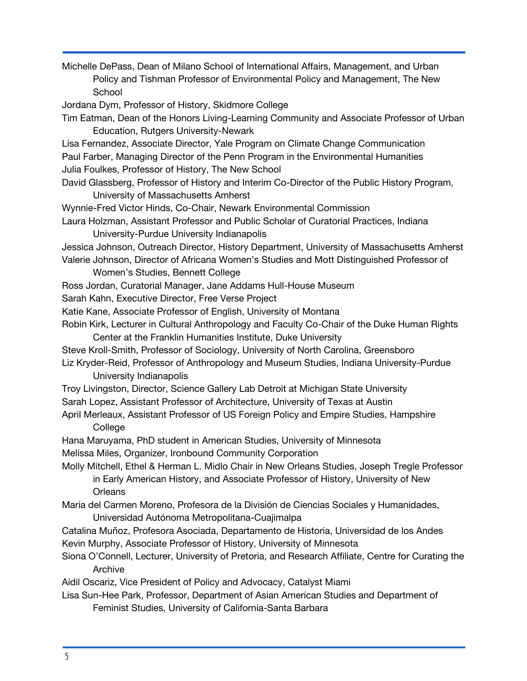Michelle DePass, Dean of Milano School of International Affairs, Management, and Urban Policy and Tishman Professor of Environmental Policy and Management, The New School Jordana Dym, Professor of History, Skidmore College Tim Eatman, Dean of the Honors Living-Learning Community and Associate Professor of Urban Education, Rutgers University-Newark Lisa Fernandez, Associate Director, Yale Program on Climate Change Communication Paul Farber, Managing Director of the Penn Program in the Environmental Humanities Julia Foulkes, Professor of History, The New School David Glassberg, Professor of History and Interim Co-Director of the Public History Program, University of Massachusetts Amherst Wynnie-Fred Victor Hinds, Co-Chair, Newark Environmental Commission Laura Holzman, Assistant Professor and Public Scholar of Curatorial Practices, Indiana University-Purdue University Indianapolis Jessica Johnson, Outreach Director, History Department, University of Massachusetts Amherst Valerie Johnson, Director of Africana Women's Studies and Mott Distinguished Professor of Women's Studies, Bennett College Ross Jordan, Curatorial Manager, Jane Addams Hull-House Museum Sarah Kahn, Executive Director, Free Verse Project Katie Kane, Associate Professor of English, University of Montana Robin Kirk, Lecturer in Cultural Anthropology and Faculty Co-Chair of the Duke Human Rights Center at the Franklin Humanities Institute, Duke University Steve Kroll-Smith, Professor of Sociology, University of North Carolina, Greensboro Liz Kryder-Reid, Professor of Anthropology and Museum Studies, Indiana University-Purdue University Indianapolis Troy Livingston, Director, Science Gallery Lab Detroit at Michigan State University Sarah Lopez, Assistant Professor of Architecture, University of Texas at Austin April Merleaux, Assistant Professor of US Foreign Policy and Empire Studies, Hampshire **College** Hana Maruyama, PhD student in American Studies, University of Minnesota Melissa Miles, Organizer, Ironbound Community Corporation Molly Mitchell, Ethel & Herman L. Midlo Chair in New Orleans Studies, Joseph Tregle Professor in Early American History, and Associate Professor of History, University of New **Orleans** Maria del Carmen Moreno, Profesora de la División de Ciencias Sociales y Humanidades, Universidad Autónoma Metropolitana-Cuajimalpa Catalina Muñoz, Profesora Asociada, Departamento de Historia, Universidad de los Andes Kevin Murphy, Associate Professor of History, University of Minnesota Siona O'Connell, Lecturer, University of Pretoria, and Research Affiliate, Centre for Curating the Archive Aidil Oscariz, Vice President of Policy and Advocacy, Catalyst Miami Lisa Sun-Hee Park, Professor, Department of Asian American Studies and Department of

Feminist Studies, University of California-Santa Barbara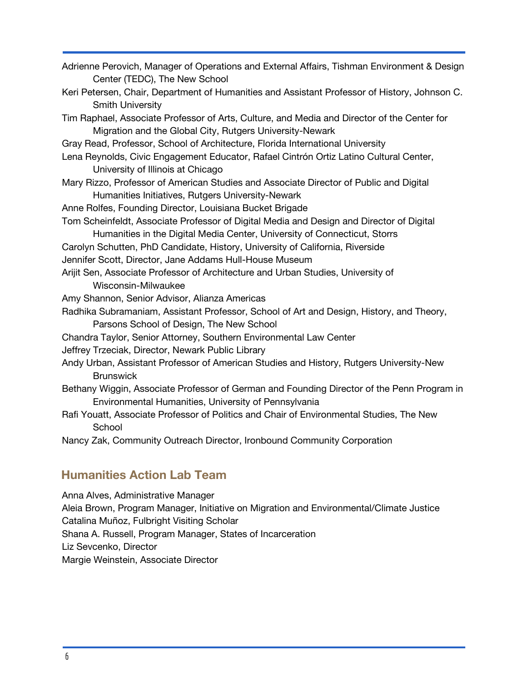| Center (TEDC), The New School                                                                 |
|-----------------------------------------------------------------------------------------------|
| Keri Petersen, Chair, Department of Humanities and Assistant Professor of History, Johnson C. |
| <b>Smith University</b>                                                                       |
| Tim Raphael, Associate Professor of Arts, Culture, and Media and Director of the Center for   |
| Migration and the Global City, Rutgers University-Newark                                      |
| Gray Read, Professor, School of Architecture, Florida International University                |
| Lena Reynolds, Civic Engagement Educator, Rafael Cintrón Ortiz Latino Cultural Center,        |
| University of Illinois at Chicago                                                             |
| Mary Rizzo, Professor of American Studies and Associate Director of Public and Digital        |
| Humanities Initiatives, Rutgers University-Newark                                             |
| Anne Rolfes, Founding Director, Louisiana Bucket Brigade                                      |

Adrienne Perovich, Manager of Operations and External Affairs, Tishman Environment & Design

- Tom Scheinfeldt, Associate Professor of Digital Media and Design and Director of Digital Humanities in the Digital Media Center, University of Connecticut, Storrs
- Carolyn Schutten, PhD Candidate, History, University of California, Riverside
- Jennifer Scott, Director, Jane Addams Hull-House Museum
- Arijit Sen, Associate Professor of Architecture and Urban Studies, University of Wisconsin-Milwaukee
- Amy Shannon, Senior Advisor, Alianza Americas
- Radhika Subramaniam, Assistant Professor, School of Art and Design, History, and Theory, Parsons School of Design, The New School
- Chandra Taylor, Senior Attorney, Southern Environmental Law Center
- Jeffrey Trzeciak, Director, Newark Public Library
- Andy Urban, Assistant Professor of American Studies and History, Rutgers University-New **Brunswick**
- Bethany Wiggin, Associate Professor of German and Founding Director of the Penn Program in Environmental Humanities, University of Pennsylvania
- Rafi Youatt, Associate Professor of Politics and Chair of Environmental Studies, The New **School**
- Nancy Zak, Community Outreach Director, Ironbound Community Corporation

### **Humanities Action Lab Team**

Anna Alves, Administrative Manager Aleia Brown, Program Manager, Initiative on Migration and Environmental/Climate Justice Catalina Muñoz, Fulbright Visiting Scholar Shana A. Russell, Program Manager, States of Incarceration Liz Sevcenko, Director Margie Weinstein, Associate Director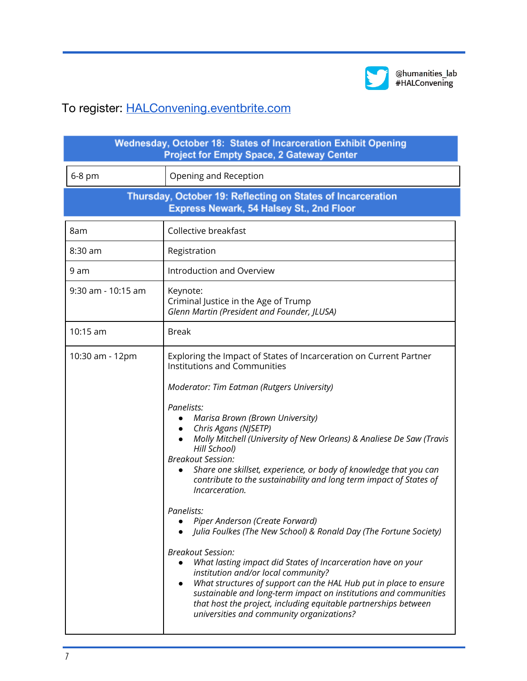

@humanities\_lab<br>#HALConvening

# To register: [HALConvening.eventbrite.com](http://halconvening.eventbrite.com/)

| Wednesday, October 18: States of Incarceration Exhibit Opening<br><b>Project for Empty Space, 2 Gateway Center</b> |                                                                                                                                                                                                                                                                                                                                                                                                                                                                                                                                                                                                                                                                                                                                                                                                                                                                                                                                                                                                                                                                              |  |  |
|--------------------------------------------------------------------------------------------------------------------|------------------------------------------------------------------------------------------------------------------------------------------------------------------------------------------------------------------------------------------------------------------------------------------------------------------------------------------------------------------------------------------------------------------------------------------------------------------------------------------------------------------------------------------------------------------------------------------------------------------------------------------------------------------------------------------------------------------------------------------------------------------------------------------------------------------------------------------------------------------------------------------------------------------------------------------------------------------------------------------------------------------------------------------------------------------------------|--|--|
| 6-8 pm                                                                                                             | Opening and Reception                                                                                                                                                                                                                                                                                                                                                                                                                                                                                                                                                                                                                                                                                                                                                                                                                                                                                                                                                                                                                                                        |  |  |
| Thursday, October 19: Reflecting on States of Incarceration<br>Express Newark, 54 Halsey St., 2nd Floor            |                                                                                                                                                                                                                                                                                                                                                                                                                                                                                                                                                                                                                                                                                                                                                                                                                                                                                                                                                                                                                                                                              |  |  |
| 8am                                                                                                                | Collective breakfast                                                                                                                                                                                                                                                                                                                                                                                                                                                                                                                                                                                                                                                                                                                                                                                                                                                                                                                                                                                                                                                         |  |  |
| $8:30$ am                                                                                                          | Registration                                                                                                                                                                                                                                                                                                                                                                                                                                                                                                                                                                                                                                                                                                                                                                                                                                                                                                                                                                                                                                                                 |  |  |
| 9 am                                                                                                               | Introduction and Overview                                                                                                                                                                                                                                                                                                                                                                                                                                                                                                                                                                                                                                                                                                                                                                                                                                                                                                                                                                                                                                                    |  |  |
| 9:30 am - 10:15 am                                                                                                 | Keynote:<br>Criminal Justice in the Age of Trump<br>Glenn Martin (President and Founder, JLUSA)                                                                                                                                                                                                                                                                                                                                                                                                                                                                                                                                                                                                                                                                                                                                                                                                                                                                                                                                                                              |  |  |
| 10:15 am                                                                                                           | <b>Break</b>                                                                                                                                                                                                                                                                                                                                                                                                                                                                                                                                                                                                                                                                                                                                                                                                                                                                                                                                                                                                                                                                 |  |  |
| 10:30 am - 12pm                                                                                                    | Exploring the Impact of States of Incarceration on Current Partner<br><b>Institutions and Communities</b><br>Moderator: Tim Eatman (Rutgers University)<br>Panelists:<br>Marisa Brown (Brown University)<br>Chris Agans (NJSETP)<br>$\bullet$<br>Molly Mitchell (University of New Orleans) & Analiese De Saw (Travis<br>Hill School)<br><b>Breakout Session:</b><br>Share one skillset, experience, or body of knowledge that you can<br>contribute to the sustainability and long term impact of States of<br>Incarceration.<br>Panelists:<br>• Piper Anderson (Create Forward)<br>Julia Foulkes (The New School) & Ronald Day (The Fortune Society)<br><b>Breakout Session:</b><br>What lasting impact did States of Incarceration have on your<br>$\bullet$<br>institution and/or local community?<br>What structures of support can the HAL Hub put in place to ensure<br>$\bullet$<br>sustainable and long-term impact on institutions and communities<br>that host the project, including equitable partnerships between<br>universities and community organizations? |  |  |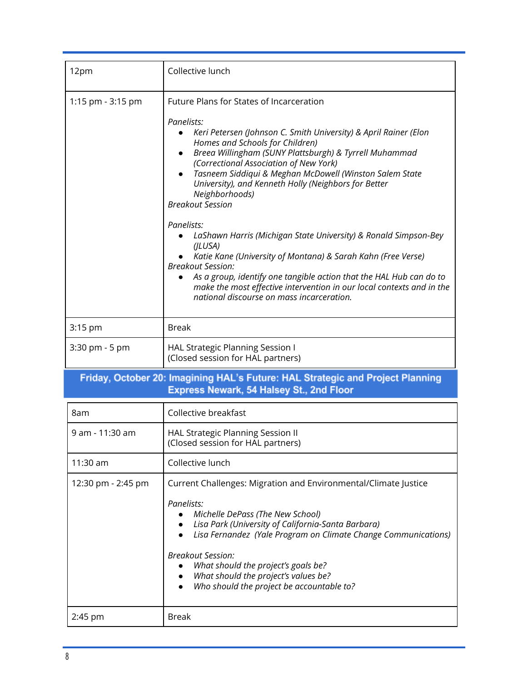| 12pm              | Collective lunch                                                                                                                                                                                                                                                                                                                                                                                                                                                                                                                                                                                                                                                                                                                                                                                                       |
|-------------------|------------------------------------------------------------------------------------------------------------------------------------------------------------------------------------------------------------------------------------------------------------------------------------------------------------------------------------------------------------------------------------------------------------------------------------------------------------------------------------------------------------------------------------------------------------------------------------------------------------------------------------------------------------------------------------------------------------------------------------------------------------------------------------------------------------------------|
| 1:15 pm - 3:15 pm | Future Plans for States of Incarceration<br>Panelists:<br>Keri Petersen (Johnson C. Smith University) & April Rainer (Elon<br>Homes and Schools for Children)<br>Breea Willingham (SUNY Plattsburgh) & Tyrrell Muhammad<br>(Correctional Association of New York)<br>Tasneem Siddiqui & Meghan McDowell (Winston Salem State<br>University), and Kenneth Holly (Neighbors for Better<br>Neighborhoods)<br><b>Breakout Session</b><br>Panelists:<br>LaShawn Harris (Michigan State University) & Ronald Simpson-Bey<br>(JLUSA)<br>Katie Kane (University of Montana) & Sarah Kahn (Free Verse)<br><b>Breakout Session:</b><br>As a group, identify one tangible action that the HAL Hub can do to<br>make the most effective intervention in our local contexts and in the<br>national discourse on mass incarceration. |
| 3:15 pm           | <b>Break</b>                                                                                                                                                                                                                                                                                                                                                                                                                                                                                                                                                                                                                                                                                                                                                                                                           |
| 3:30 pm - 5 pm    | HAL Strategic Planning Session I<br>(Closed session for HAL partners)                                                                                                                                                                                                                                                                                                                                                                                                                                                                                                                                                                                                                                                                                                                                                  |

# Friday, October 20: Imagining HAL's Future: HAL Strategic and Project Planning<br>Express Newark, 54 Halsey St., 2nd Floor

| 8am                | Collective breakfast                                                                                                                                                                                                                                                                                                                                                                              |
|--------------------|---------------------------------------------------------------------------------------------------------------------------------------------------------------------------------------------------------------------------------------------------------------------------------------------------------------------------------------------------------------------------------------------------|
| 9 am - 11:30 am    | HAL Strategic Planning Session II<br>(Closed session for HAL partners)                                                                                                                                                                                                                                                                                                                            |
| 11:30 am           | Collective lunch                                                                                                                                                                                                                                                                                                                                                                                  |
| 12:30 pm - 2:45 pm | Current Challenges: Migration and Environmental/Climate Justice<br>Panelists:<br>Michelle DePass (The New School)<br>Lisa Park (University of California-Santa Barbara)<br>Lisa Fernandez (Yale Program on Climate Change Communications)<br><b>Breakout Session:</b><br>What should the project's goals be?<br>What should the project's values be?<br>Who should the project be accountable to? |
| $2:45$ pm          | Break                                                                                                                                                                                                                                                                                                                                                                                             |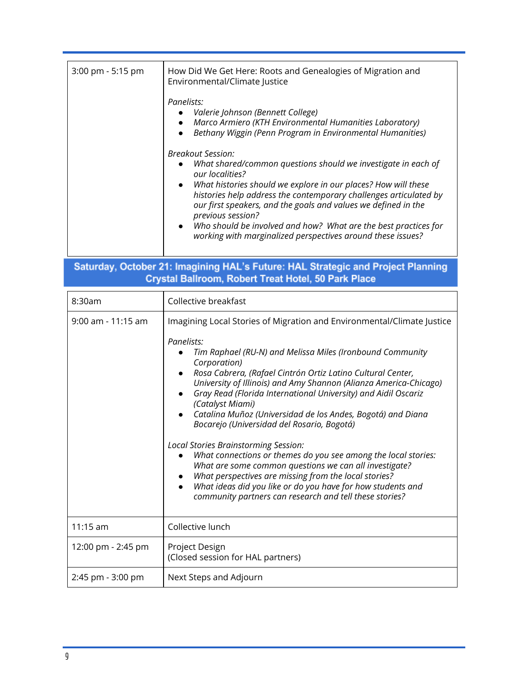| 3:00 pm - 5:15 pm  | How Did We Get Here: Roots and Genealogies of Migration and<br>Environmental/Climate Justice<br>Panelists:<br>Valerie Johnson (Bennett College)<br>Marco Armiero (KTH Environmental Humanities Laboratory)<br>Bethany Wiggin (Penn Program in Environmental Humanities)<br>$\bullet$<br><b>Breakout Session:</b><br>What shared/common questions should we investigate in each of<br>our localities?<br>What histories should we explore in our places? How will these<br>$\bullet$                                                                                                                                                                                                                                                                                                   |
|--------------------|---------------------------------------------------------------------------------------------------------------------------------------------------------------------------------------------------------------------------------------------------------------------------------------------------------------------------------------------------------------------------------------------------------------------------------------------------------------------------------------------------------------------------------------------------------------------------------------------------------------------------------------------------------------------------------------------------------------------------------------------------------------------------------------|
|                    | histories help address the contemporary challenges articulated by<br>our first speakers, and the goals and values we defined in the<br>previous session?                                                                                                                                                                                                                                                                                                                                                                                                                                                                                                                                                                                                                              |
|                    | Who should be involved and how? What are the best practices for<br>working with marginalized perspectives around these issues?                                                                                                                                                                                                                                                                                                                                                                                                                                                                                                                                                                                                                                                        |
|                    | Saturday, October 21: Imagining HAL's Future: HAL Strategic and Project Planning                                                                                                                                                                                                                                                                                                                                                                                                                                                                                                                                                                                                                                                                                                      |
|                    | Crystal Ballroom, Robert Treat Hotel, 50 Park Place                                                                                                                                                                                                                                                                                                                                                                                                                                                                                                                                                                                                                                                                                                                                   |
| 8:30am             | Collective breakfast                                                                                                                                                                                                                                                                                                                                                                                                                                                                                                                                                                                                                                                                                                                                                                  |
| 9:00 am - 11:15 am | Imagining Local Stories of Migration and Environmental/Climate Justice                                                                                                                                                                                                                                                                                                                                                                                                                                                                                                                                                                                                                                                                                                                |
|                    | Panelists:<br>Tim Raphael (RU-N) and Melissa Miles (Ironbound Community<br>Corporation)<br>Rosa Cabrera, (Rafael Cintrón Ortiz Latino Cultural Center,<br>University of Illinois) and Amy Shannon (Alianza America-Chicago)<br>Gray Read (Florida International University) and Aidil Oscariz<br>(Catalyst Miami)<br>Catalina Muñoz (Universidad de los Andes, Bogotá) and Diana<br>Bocarejo (Universidad del Rosario, Bogotá)<br>Local Stories Brainstorming Session:<br>What connections or themes do you see among the local stories:<br>What are some common questions we can all investigate?<br>What perspectives are missing from the local stories?<br>What ideas did you like or do you have for how students and<br>community partners can research and tell these stories? |
| 11:15 am           | Collective lunch                                                                                                                                                                                                                                                                                                                                                                                                                                                                                                                                                                                                                                                                                                                                                                      |
| 12:00 pm - 2:45 pm | Project Design<br>(Closed session for HAL partners)                                                                                                                                                                                                                                                                                                                                                                                                                                                                                                                                                                                                                                                                                                                                   |
| 2:45 pm - 3:00 pm  | Next Steps and Adjourn                                                                                                                                                                                                                                                                                                                                                                                                                                                                                                                                                                                                                                                                                                                                                                |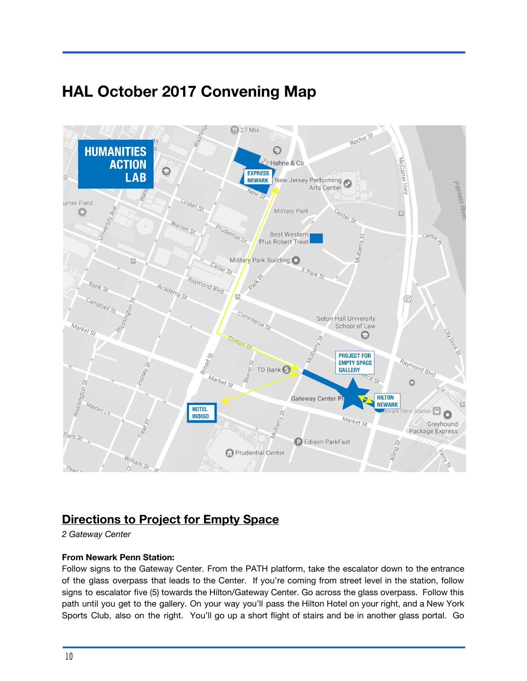# **HAL October 2017 Convening Map**



## **Directions to Project for Empty Space**

*2 Gateway Center*

#### **From Newark Penn Station:**

Follow signs to the Gateway Center. From the PATH platform, take the escalator down to the entrance of the glass overpass that leads to the Center. If you're coming from street level in the station, follow signs to escalator five (5) towards the Hilton/Gateway Center. Go across the glass overpass. Follow this path until you get to the gallery. On your way you'll pass the Hilton Hotel on your right, and a New York Sports Club, also on the right. You'll go up a short flight of stairs and be in another glass portal. Go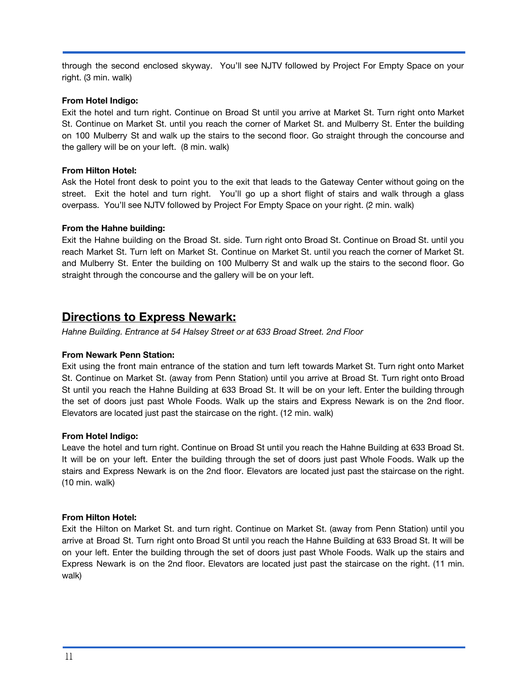through the second enclosed skyway. You'll see NJTV followed by Project For Empty Space on your right. (3 min. walk)

#### **From Hotel Indigo:**

Exit the hotel and turn right. Continue on Broad St until you arrive at Market St. Turn right onto Market St. Continue on Market St. until you reach the corner of Market St. and Mulberry St. Enter the building on 100 Mulberry St and walk up the stairs to the second floor. Go straight through the concourse and the gallery will be on your left. (8 min. walk)

#### **From Hilton Hotel:**

Ask the Hotel front desk to point you to the exit that leads to the Gateway Center without going on the street. Exit the hotel and turn right. You'll go up a short flight of stairs and walk through a glass overpass. You'll see NJTV followed by Project For Empty Space on your right. (2 min. walk)

#### **From the Hahne building:**

Exit the Hahne building on the Broad St. side. Turn right onto Broad St. Continue on Broad St. until you reach Market St. Turn left on Market St. Continue on Market St. until you reach the corner of Market St. and Mulberry St. Enter the building on 100 Mulberry St and walk up the stairs to the second floor. Go straight through the concourse and the gallery will be on your left.

## **Directions to Express Newark:**

*Hahne Building. Entrance at 54 Halsey Street or at 633 Broad Street. 2nd Floor*

#### **From Newark Penn Station:**

Exit using the front main entrance of the station and turn left towards Market St. Turn right onto Market St. Continue on Market St. (away from Penn Station) until you arrive at Broad St. Turn right onto Broad St until you reach the Hahne Building at 633 Broad St. It will be on your left. Enter the building through the set of doors just past Whole Foods. Walk up the stairs and Express Newark is on the 2nd floor. Elevators are located just past the staircase on the right. (12 min. walk)

#### **From Hotel Indigo:**

Leave the hotel and turn right. Continue on Broad St until you reach the Hahne Building at 633 Broad St. It will be on your left. Enter the building through the set of doors just past Whole Foods. Walk up the stairs and Express Newark is on the 2nd floor. Elevators are located just past the staircase on the right. (10 min. walk)

#### **From Hilton Hotel:**

Exit the Hilton on Market St. and turn right. Continue on Market St. (away from Penn Station) until you arrive at Broad St. Turn right onto Broad St until you reach the Hahne Building at 633 Broad St. It will be on your left. Enter the building through the set of doors just past Whole Foods. Walk up the stairs and Express Newark is on the 2nd floor. Elevators are located just past the staircase on the right. (11 min. walk)